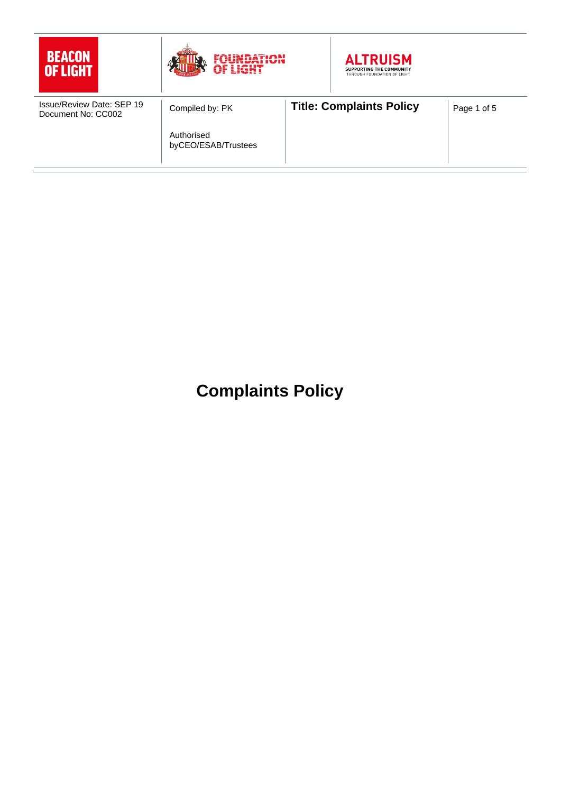| <b>BEACON</b><br><b>OF LIGHT</b>                       |                                   | <b>ALTRUISM</b><br>SUPPORTING THE COMMUNITY<br>THROUGH FOUNDATION OF LIGHT |             |
|--------------------------------------------------------|-----------------------------------|----------------------------------------------------------------------------|-------------|
| <b>Issue/Review Date: SEP 19</b><br>Document No: CC002 | Compiled by: PK                   | <b>Title: Complaints Policy</b>                                            | Page 1 of 5 |
|                                                        | Authorised<br>byCEO/ESAB/Trustees |                                                                            |             |

**Complaints Policy**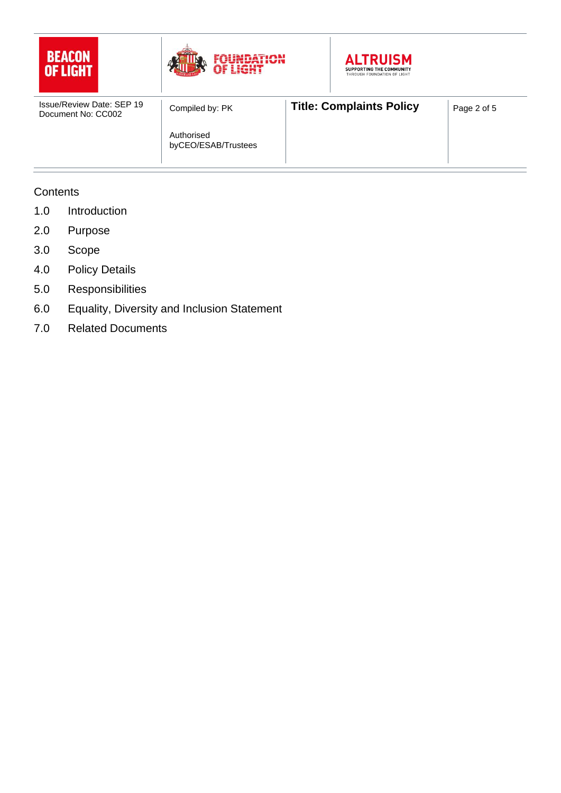| <b>BEACON</b><br><b>OF LIGHT</b>                       |                                   | <b>ALTRUISM</b><br>SUPPORTING THE COMMUNITY<br>THROUGH FOUNDATION OF LIGHT |             |
|--------------------------------------------------------|-----------------------------------|----------------------------------------------------------------------------|-------------|
| <b>Issue/Review Date: SEP 19</b><br>Document No: CC002 | Compiled by: PK                   | <b>Title: Complaints Policy</b>                                            | Page 2 of 5 |
|                                                        | Authorised<br>byCEO/ESAB/Trustees |                                                                            |             |

# **Contents**

- 1.0 Introduction
- 2.0 Purpose
- 3.0 Scope
- 4.0 Policy Details
- 5.0 Responsibilities
- 6.0 Equality, Diversity and Inclusion Statement
- 7.0 Related Documents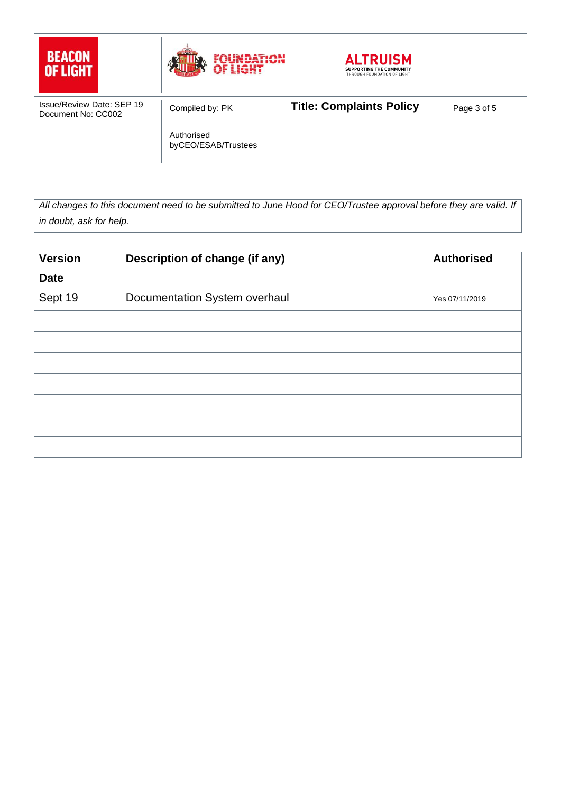| <b>BEACON</b><br>OF LIGHT                       |                                   |  | <b>ALTRUISM</b><br>SUPPORTING THE COMMUNITY<br>THROUGH FOUNDATION OF LIGHT |             |
|-------------------------------------------------|-----------------------------------|--|----------------------------------------------------------------------------|-------------|
| Issue/Review Date: SEP 19<br>Document No: CC002 | Compiled by: PK                   |  | <b>Title: Complaints Policy</b>                                            | Page 3 of 5 |
|                                                 | Authorised<br>byCEO/ESAB/Trustees |  |                                                                            |             |

*All changes to this document need to be submitted to June Hood for CEO/Trustee approval before they are valid. If in doubt, ask for help.*

| <b>Version</b> | Description of change (if any) | <b>Authorised</b> |
|----------------|--------------------------------|-------------------|
| <b>Date</b>    |                                |                   |
| Sept 19        | Documentation System overhaul  | Yes 07/11/2019    |
|                |                                |                   |
|                |                                |                   |
|                |                                |                   |
|                |                                |                   |
|                |                                |                   |
|                |                                |                   |
|                |                                |                   |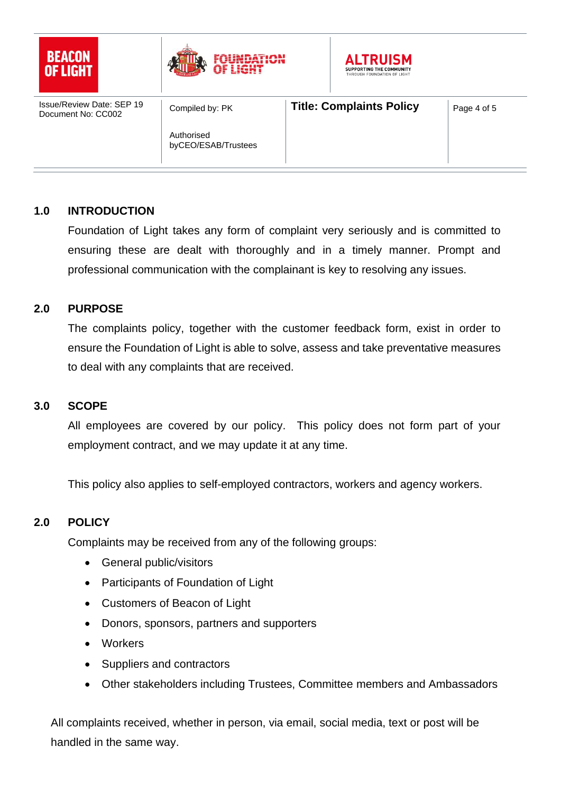| <b>BEACON</b><br>OF LIGHT                              |                                   | <b>ALTRUISM</b><br>SUPPORTING THE COMMUNITY<br>THROUGH FOUNDATION OF LIGHT |             |
|--------------------------------------------------------|-----------------------------------|----------------------------------------------------------------------------|-------------|
| <b>Issue/Review Date: SEP 19</b><br>Document No: CC002 | Compiled by: PK                   | <b>Title: Complaints Policy</b>                                            | Page 4 of 5 |
|                                                        | Authorised<br>byCEO/ESAB/Trustees |                                                                            |             |

### **1.0 INTRODUCTION**

Foundation of Light takes any form of complaint very seriously and is committed to ensuring these are dealt with thoroughly and in a timely manner. Prompt and professional communication with the complainant is key to resolving any issues.

# **2.0 PURPOSE**

The complaints policy, together with the customer feedback form, exist in order to ensure the Foundation of Light is able to solve, assess and take preventative measures to deal with any complaints that are received.

### **3.0 SCOPE**

All employees are covered by our policy. This policy does not form part of your employment contract, and we may update it at any time.

This policy also applies to self-employed contractors, workers and agency workers.

### **2.0 POLICY**

Complaints may be received from any of the following groups:

- General public/visitors
- Participants of Foundation of Light
- Customers of Beacon of Light
- Donors, sponsors, partners and supporters
- Workers
- Suppliers and contractors
- Other stakeholders including Trustees, Committee members and Ambassadors

All complaints received, whether in person, via email, social media, text or post will be handled in the same way.